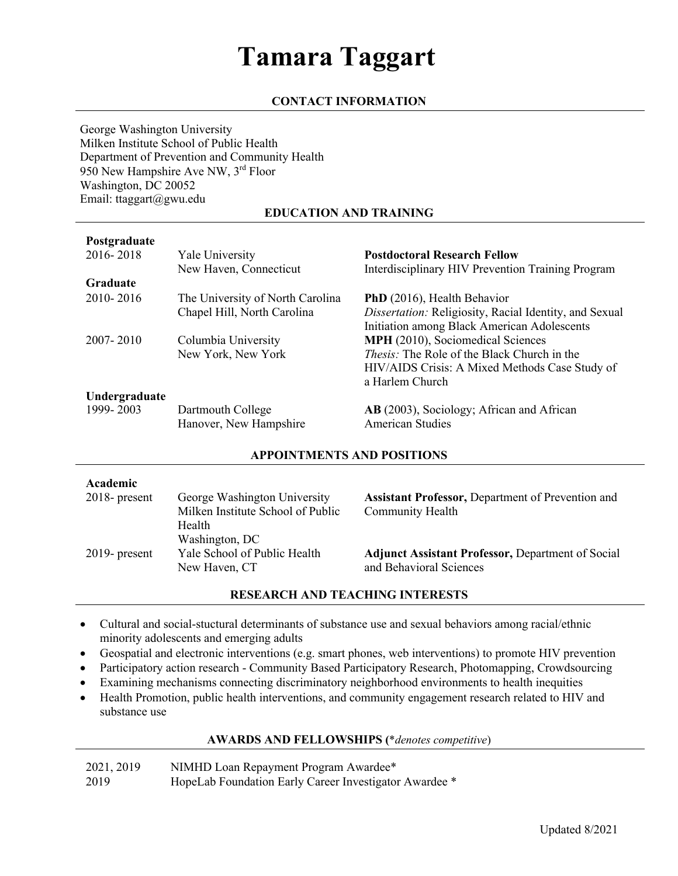# **Tamara Taggart**

## **CONTACT INFORMATION**

George Washington University Milken Institute School of Public Health Department of Prevention and Community Health 950 New Hampshire Ave NW, 3rd Floor Washington, DC 20052 Email: ttaggart@gwu.edu

### **EDUCATION AND TRAINING**

#### **Postgraduate**

| 2016-2018     | Yale University                  | <b>Postdoctoral Research Fellow</b>                      |
|---------------|----------------------------------|----------------------------------------------------------|
|               | New Haven, Connecticut           | <b>Interdisciplinary HIV Prevention Training Program</b> |
| Graduate      |                                  |                                                          |
| 2010-2016     | The University of North Carolina | PhD (2016), Health Behavior                              |
|               | Chapel Hill, North Carolina      | Dissertation: Religiosity, Racial Identity, and Sexual   |
|               |                                  | Initiation among Black American Adolescents              |
| 2007-2010     | Columbia University              | MPH (2010), Sociomedical Sciences                        |
|               | New York, New York               | <i>Thesis:</i> The Role of the Black Church in the       |
|               |                                  | HIV/AIDS Crisis: A Mixed Methods Case Study of           |
|               |                                  | a Harlem Church                                          |
| Undergraduate |                                  |                                                          |
| 1999-2003     | Dartmouth College                | AB (2003), Sociology; African and African                |
|               | Hanover, New Hampshire           | <b>American Studies</b>                                  |

#### **APPOINTMENTS AND POSITIONS**

## **Academic**

| леачение         | George Washington University                                              | <b>Assistant Professor, Department of Prevention and</b>                            |
|------------------|---------------------------------------------------------------------------|-------------------------------------------------------------------------------------|
| $2018$ - present | Milken Institute School of Public                                         | <b>Community Health</b>                                                             |
| $2019$ - present | Health<br>Washington, DC<br>Yale School of Public Health<br>New Haven, CT | <b>Adjunct Assistant Professor, Department of Social</b><br>and Behavioral Sciences |

#### **RESEARCH AND TEACHING INTERESTS**

- Cultural and social-stuctural determinants of substance use and sexual behaviors among racial/ethnic minority adolescents and emerging adults
- Geospatial and electronic interventions (e.g. smart phones, web interventions) to promote HIV prevention
- Participatory action research Community Based Participatory Research, Photomapping, Crowdsourcing
- Examining mechanisms connecting discriminatory neighborhood environments to health inequities
- Health Promotion, public health interventions, and community engagement research related to HIV and substance use

#### **AWARDS AND FELLOWSHIPS (**\**denotes competitive*)

2021, 2019 NIMHD Loan Repayment Program Awardee\* 2019 HopeLab Foundation Early Career Investigator Awardee \*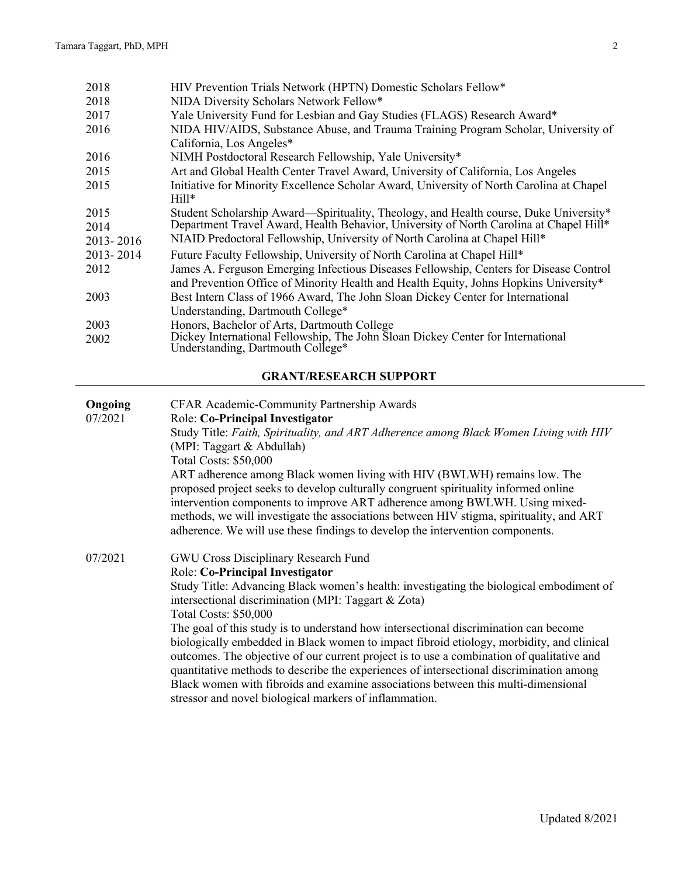| 2018      | HIV Prevention Trials Network (HPTN) Domestic Scholars Fellow*                                                                                                                  |
|-----------|---------------------------------------------------------------------------------------------------------------------------------------------------------------------------------|
| 2018      | NIDA Diversity Scholars Network Fellow*                                                                                                                                         |
| 2017      | Yale University Fund for Lesbian and Gay Studies (FLAGS) Research Award*                                                                                                        |
| 2016      | NIDA HIV/AIDS, Substance Abuse, and Trauma Training Program Scholar, University of<br>California, Los Angeles*                                                                  |
| 2016      | NIMH Postdoctoral Research Fellowship, Yale University*                                                                                                                         |
| 2015      | Art and Global Health Center Travel Award, University of California, Los Angeles                                                                                                |
| 2015      | Initiative for Minority Excellence Scholar Award, University of North Carolina at Chapel<br>$Hil1*$                                                                             |
| 2015      | Student Scholarship Award—Spirituality, Theology, and Health course, Duke University*                                                                                           |
| 2014      | Department Travel Award, Health Behavior, University of North Carolina at Chapel Hill*                                                                                          |
| 2013-2016 | NIAID Predoctoral Fellowship, University of North Carolina at Chapel Hill*                                                                                                      |
| 2013-2014 | Future Faculty Fellowship, University of North Carolina at Chapel Hill*                                                                                                         |
| 2012      | James A. Ferguson Emerging Infectious Diseases Fellowship, Centers for Disease Control<br>and Prevention Office of Minority Health and Health Equity, Johns Hopkins University* |
| 2003      | Best Intern Class of 1966 Award, The John Sloan Dickey Center for International                                                                                                 |
|           | Understanding, Dartmouth College*                                                                                                                                               |
| 2003      | Honors, Bachelor of Arts, Dartmouth College                                                                                                                                     |
| 2002      | Dickey International Fellowship, The John Sloan Dickey Center for International<br>Understanding, Dartmouth College*                                                            |

## **GRANT/RESEARCH SUPPORT**

| Ongoing | CFAR Academic-Community Partnership Awards                                                                                                                                                                                                    |
|---------|-----------------------------------------------------------------------------------------------------------------------------------------------------------------------------------------------------------------------------------------------|
| 07/2021 | Role: Co-Principal Investigator                                                                                                                                                                                                               |
|         | Study Title: Faith, Spirituality, and ART Adherence among Black Women Living with HIV                                                                                                                                                         |
|         | (MPI: Taggart & Abdullah)                                                                                                                                                                                                                     |
|         | Total Costs: \$50,000                                                                                                                                                                                                                         |
|         | ART adherence among Black women living with HIV (BWLWH) remains low. The<br>proposed project seeks to develop culturally congruent spirituality informed online<br>intervention components to improve ART adherence among BWLWH. Using mixed- |
|         | methods, we will investigate the associations between HIV stigma, spirituality, and ART<br>adherence. We will use these findings to develop the intervention components.                                                                      |
|         |                                                                                                                                                                                                                                               |
| 07/2021 | <b>GWU Cross Disciplinary Research Fund</b>                                                                                                                                                                                                   |
|         | Role: Co-Principal Investigator                                                                                                                                                                                                               |
|         | Study Title: Advancing Black women's health: investigating the biological embodiment of<br>intersectional discrimination (MPI: Taggart & Zota)                                                                                                |
|         | <b>Total Costs: \$50,000</b>                                                                                                                                                                                                                  |
|         | The goal of this study is to understand how intersectional discrimination can become                                                                                                                                                          |
|         | biologically embedded in Black women to impact fibroid etiology, morbidity, and clinical                                                                                                                                                      |
|         | outcomes. The objective of our current project is to use a combination of qualitative and                                                                                                                                                     |
|         | quantitative methods to describe the experiences of intersectional discrimination among                                                                                                                                                       |
|         | Black women with fibroids and examine associations between this multi-dimensional<br>stressor and novel biological markers of inflammation.                                                                                                   |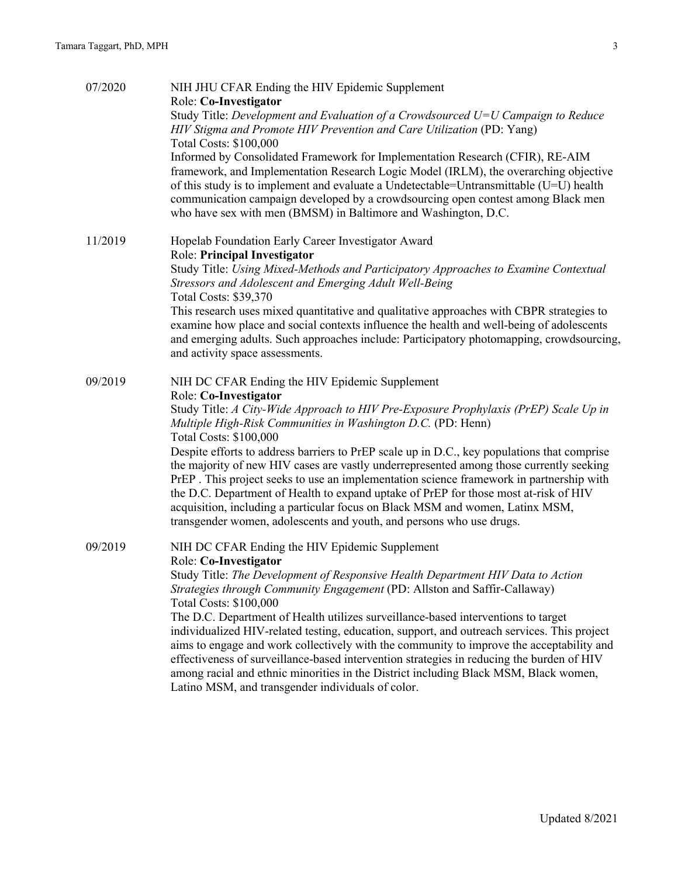| 07/2020 | NIH JHU CFAR Ending the HIV Epidemic Supplement<br>Role: Co-Investigator<br>Study Title: Development and Evaluation of a Crowdsourced $U=U$ Campaign to Reduce<br>HIV Stigma and Promote HIV Prevention and Care Utilization (PD: Yang)                                                                                                                                                                                                                                                                                            |
|---------|------------------------------------------------------------------------------------------------------------------------------------------------------------------------------------------------------------------------------------------------------------------------------------------------------------------------------------------------------------------------------------------------------------------------------------------------------------------------------------------------------------------------------------|
|         | Total Costs: \$100,000<br>Informed by Consolidated Framework for Implementation Research (CFIR), RE-AIM<br>framework, and Implementation Research Logic Model (IRLM), the overarching objective<br>of this study is to implement and evaluate a Undetectable=Untransmittable (U=U) health<br>communication campaign developed by a crowdsourcing open contest among Black men<br>who have sex with men (BMSM) in Baltimore and Washington, D.C.                                                                                    |
| 11/2019 | Hopelab Foundation Early Career Investigator Award<br><b>Role: Principal Investigator</b><br>Study Title: Using Mixed-Methods and Participatory Approaches to Examine Contextual                                                                                                                                                                                                                                                                                                                                                   |
|         | Stressors and Adolescent and Emerging Adult Well-Being                                                                                                                                                                                                                                                                                                                                                                                                                                                                             |
|         | <b>Total Costs: \$39,370</b><br>This research uses mixed quantitative and qualitative approaches with CBPR strategies to<br>examine how place and social contexts influence the health and well-being of adolescents<br>and emerging adults. Such approaches include: Participatory photomapping, crowdsourcing,<br>and activity space assessments.                                                                                                                                                                                |
| 09/2019 | NIH DC CFAR Ending the HIV Epidemic Supplement<br>Role: Co-Investigator                                                                                                                                                                                                                                                                                                                                                                                                                                                            |
|         | Study Title: A City-Wide Approach to HIV Pre-Exposure Prophylaxis (PrEP) Scale Up in<br>Multiple High-Risk Communities in Washington D.C. (PD: Henn)<br>Total Costs: \$100,000                                                                                                                                                                                                                                                                                                                                                     |
|         | Despite efforts to address barriers to PrEP scale up in D.C., key populations that comprise<br>the majority of new HIV cases are vastly underrepresented among those currently seeking<br>PrEP. This project seeks to use an implementation science framework in partnership with<br>the D.C. Department of Health to expand uptake of PrEP for those most at-risk of HIV<br>acquisition, including a particular focus on Black MSM and women, Latinx MSM,<br>transgender women, adolescents and youth, and persons who use drugs. |
| 09/2019 | NIH DC CFAR Ending the HIV Epidemic Supplement<br>Role: Co-Investigator                                                                                                                                                                                                                                                                                                                                                                                                                                                            |
|         | Study Title: The Development of Responsive Health Department HIV Data to Action<br>Strategies through Community Engagement (PD: Allston and Saffir-Callaway)<br>Total Costs: \$100,000                                                                                                                                                                                                                                                                                                                                             |
|         | The D.C. Department of Health utilizes surveillance-based interventions to target<br>individualized HIV-related testing, education, support, and outreach services. This project<br>aims to engage and work collectively with the community to improve the acceptability and<br>effectiveness of surveillance-based intervention strategies in reducing the burden of HIV<br>among racial and ethnic minorities in the District including Black MSM, Black women,<br>Latino MSM, and transgender individuals of color.             |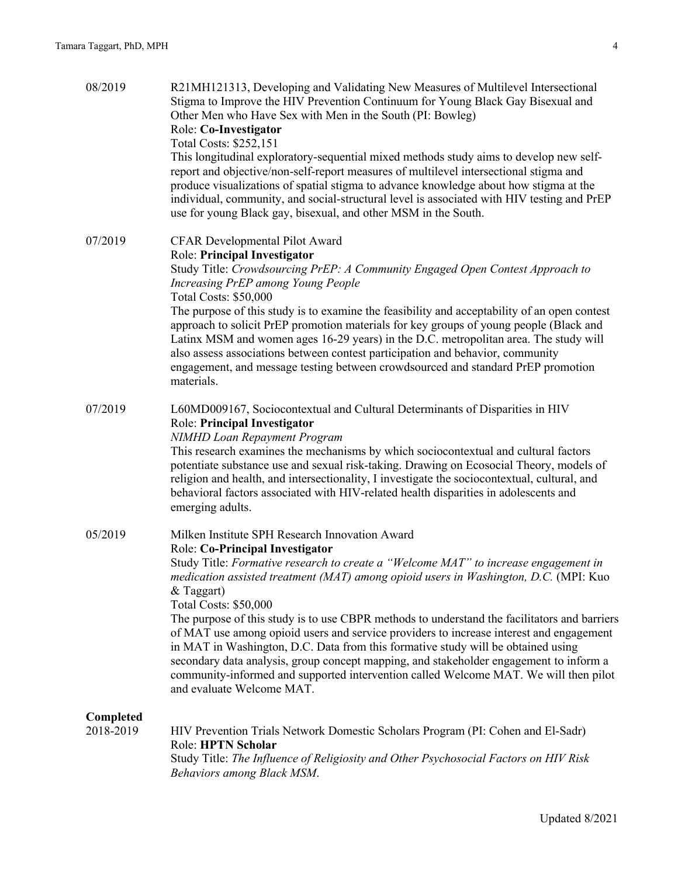| 08/2019                | R21MH121313, Developing and Validating New Measures of Multilevel Intersectional<br>Stigma to Improve the HIV Prevention Continuum for Young Black Gay Bisexual and<br>Other Men who Have Sex with Men in the South (PI: Bowleg)<br>Role: Co-Investigator<br>Total Costs: \$252,151<br>This longitudinal exploratory-sequential mixed methods study aims to develop new self-<br>report and objective/non-self-report measures of multilevel intersectional stigma and<br>produce visualizations of spatial stigma to advance knowledge about how stigma at the<br>individual, community, and social-structural level is associated with HIV testing and PrEP<br>use for young Black gay, bisexual, and other MSM in the South.                                                                       |
|------------------------|-------------------------------------------------------------------------------------------------------------------------------------------------------------------------------------------------------------------------------------------------------------------------------------------------------------------------------------------------------------------------------------------------------------------------------------------------------------------------------------------------------------------------------------------------------------------------------------------------------------------------------------------------------------------------------------------------------------------------------------------------------------------------------------------------------|
| 07/2019                | CFAR Developmental Pilot Award<br><b>Role: Principal Investigator</b><br>Study Title: Crowdsourcing PrEP: A Community Engaged Open Contest Approach to<br><b>Increasing PrEP among Young People</b><br>Total Costs: \$50,000<br>The purpose of this study is to examine the feasibility and acceptability of an open contest<br>approach to solicit PrEP promotion materials for key groups of young people (Black and<br>Latinx MSM and women ages 16-29 years) in the D.C. metropolitan area. The study will<br>also assess associations between contest participation and behavior, community<br>engagement, and message testing between crowdsourced and standard PrEP promotion<br>materials.                                                                                                    |
| 07/2019                | L60MD009167, Sociocontextual and Cultural Determinants of Disparities in HIV<br><b>Role: Principal Investigator</b><br><b>NIMHD Loan Repayment Program</b><br>This research examines the mechanisms by which sociocontextual and cultural factors<br>potentiate substance use and sexual risk-taking. Drawing on Ecosocial Theory, models of<br>religion and health, and intersectionality, I investigate the sociocontextual, cultural, and<br>behavioral factors associated with HIV-related health disparities in adolescents and<br>emerging adults.                                                                                                                                                                                                                                              |
| 05/2019                | Milken Institute SPH Research Innovation Award<br>Role: Co-Principal Investigator<br>Study Title: Formative research to create a "Welcome MAT" to increase engagement in<br>medication assisted treatment (MAT) among opioid users in Washington, D.C. (MPI: Kuo<br>& Taggart)<br>Total Costs: \$50,000<br>The purpose of this study is to use CBPR methods to understand the facilitators and barriers<br>of MAT use among opioid users and service providers to increase interest and engagement<br>in MAT in Washington, D.C. Data from this formative study will be obtained using<br>secondary data analysis, group concept mapping, and stakeholder engagement to inform a<br>community-informed and supported intervention called Welcome MAT. We will then pilot<br>and evaluate Welcome MAT. |
| Completed<br>2018-2019 | HIV Prevention Trials Network Domestic Scholars Program (PI: Cohen and El-Sadr)<br><b>Role: HPTN Scholar</b><br>Study Title: The Influence of Religiosity and Other Psychosocial Factors on HIV Risk<br>Behaviors among Black MSM.                                                                                                                                                                                                                                                                                                                                                                                                                                                                                                                                                                    |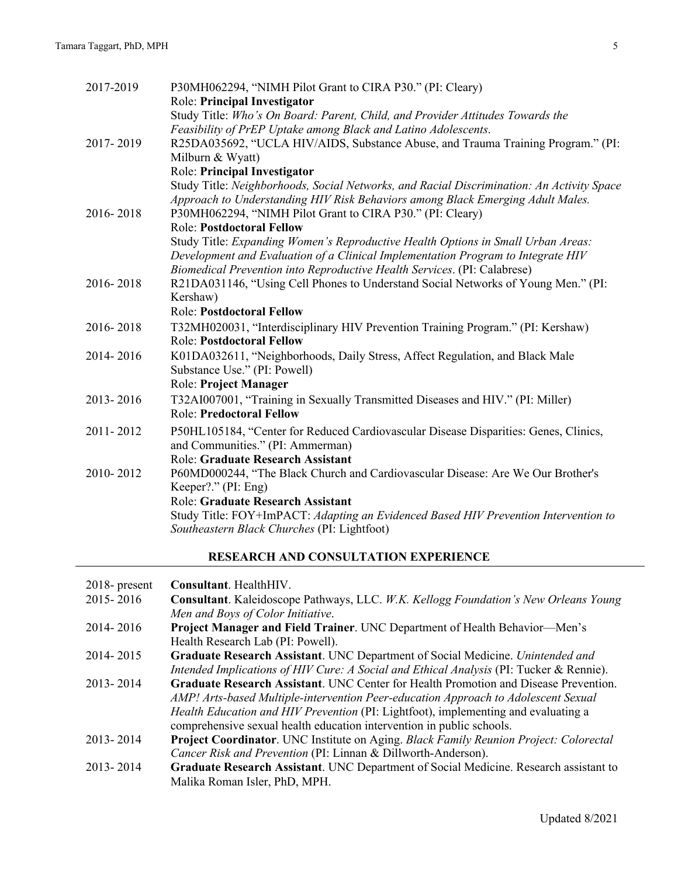| 2017-2019 | P30MH062294, "NIMH Pilot Grant to CIRA P30." (PI: Cleary)<br><b>Role: Principal Investigator</b>                                                                                                                                                                                |
|-----------|---------------------------------------------------------------------------------------------------------------------------------------------------------------------------------------------------------------------------------------------------------------------------------|
|           | Study Title: Who's On Board: Parent, Child, and Provider Attitudes Towards the<br>Feasibility of PrEP Uptake among Black and Latino Adolescents.                                                                                                                                |
| 2017-2019 | R25DA035692, "UCLA HIV/AIDS, Substance Abuse, and Trauma Training Program." (PI:<br>Milburn & Wyatt)                                                                                                                                                                            |
| 2016-2018 | <b>Role: Principal Investigator</b><br>Study Title: Neighborhoods, Social Networks, and Racial Discrimination: An Activity Space<br>Approach to Understanding HIV Risk Behaviors among Black Emerging Adult Males.<br>P30MH062294, "NIMH Pilot Grant to CIRA P30." (PI: Cleary) |
|           | <b>Role: Postdoctoral Fellow</b><br>Study Title: Expanding Women's Reproductive Health Options in Small Urban Areas:                                                                                                                                                            |
|           | Development and Evaluation of a Clinical Implementation Program to Integrate HIV<br>Biomedical Prevention into Reproductive Health Services. (PI: Calabrese)                                                                                                                    |
| 2016-2018 | R21DA031146, "Using Cell Phones to Understand Social Networks of Young Men." (PI:<br>Kershaw)                                                                                                                                                                                   |
|           | <b>Role: Postdoctoral Fellow</b>                                                                                                                                                                                                                                                |
| 2016-2018 | T32MH020031, "Interdisciplinary HIV Prevention Training Program." (PI: Kershaw)<br><b>Role: Postdoctoral Fellow</b>                                                                                                                                                             |
| 2014-2016 | K01DA032611, "Neighborhoods, Daily Stress, Affect Regulation, and Black Male<br>Substance Use." (PI: Powell)<br><b>Role: Project Manager</b>                                                                                                                                    |
| 2013-2016 | T32AI007001, "Training in Sexually Transmitted Diseases and HIV." (PI: Miller)<br><b>Role: Predoctoral Fellow</b>                                                                                                                                                               |
| 2011-2012 | P50HL105184, "Center for Reduced Cardiovascular Disease Disparities: Genes, Clinics,<br>and Communities." (PI: Ammerman)<br>Role: Graduate Research Assistant                                                                                                                   |
| 2010-2012 | P60MD000244, "The Black Church and Cardiovascular Disease: Are We Our Brother's<br>Keeper?." $(PI: Eng)$                                                                                                                                                                        |
|           | <b>Role: Graduate Research Assistant</b>                                                                                                                                                                                                                                        |
|           | Study Title: FOY+ImPACT: Adapting an Evidenced Based HIV Prevention Intervention to<br>Southeastern Black Churches (PI: Lightfoot)                                                                                                                                              |
|           |                                                                                                                                                                                                                                                                                 |

## **RESEARCH AND CONSULTATION EXPERIENCE**

| $2018$ - present | Consultant. HealthHIV.                                                                      |
|------------------|---------------------------------------------------------------------------------------------|
| 2015-2016        | Consultant. Kaleidoscope Pathways, LLC. W.K. Kellogg Foundation's New Orleans Young         |
|                  | Men and Boys of Color Initiative.                                                           |
| 2014-2016        | Project Manager and Field Trainer. UNC Department of Health Behavior—Men's                  |
|                  | Health Research Lab (PI: Powell).                                                           |
| 2014-2015        | Graduate Research Assistant. UNC Department of Social Medicine. Unintended and              |
|                  | Intended Implications of HIV Cure: A Social and Ethical Analysis (PI: Tucker & Rennie).     |
| 2013-2014        | <b>Graduate Research Assistant.</b> UNC Center for Health Promotion and Disease Prevention. |
|                  | AMP! Arts-based Multiple-intervention Peer-education Approach to Adolescent Sexual          |
|                  | <i>Health Education and HIV Prevention</i> (PI: Lightfoot), implementing and evaluating a   |
|                  | comprehensive sexual health education intervention in public schools.                       |
| 2013-2014        | Project Coordinator. UNC Institute on Aging. Black Family Reunion Project: Colorectal       |
|                  | Cancer Risk and Prevention (PI: Linnan & Dillworth-Anderson).                               |
| 2013-2014        | Graduate Research Assistant. UNC Department of Social Medicine. Research assistant to       |
|                  | Malika Roman Isler, PhD, MPH.                                                               |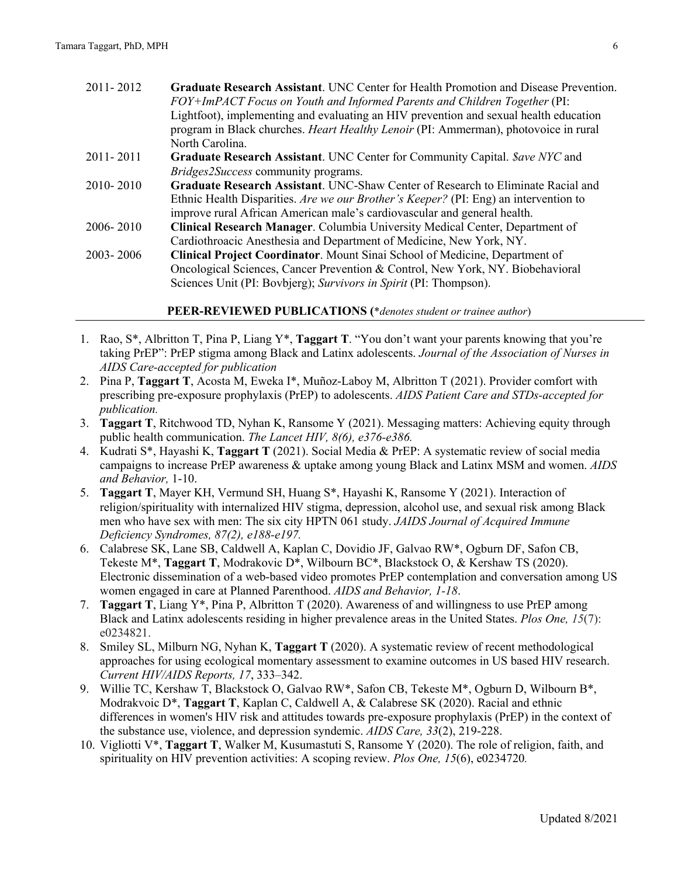| 2011-2012 | <b>Graduate Research Assistant.</b> UNC Center for Health Promotion and Disease Prevention.<br>FOY+ImPACT Focus on Youth and Informed Parents and Children Together (PI:<br>Lightfoot), implementing and evaluating an HIV prevention and sexual health education<br>program in Black churches. Heart Healthy Lenoir (PI: Ammerman), photovoice in rural<br>North Carolina. |
|-----------|-----------------------------------------------------------------------------------------------------------------------------------------------------------------------------------------------------------------------------------------------------------------------------------------------------------------------------------------------------------------------------|
| 2011-2011 | <b>Graduate Research Assistant.</b> UNC Center for Community Capital. Save NYC and                                                                                                                                                                                                                                                                                          |
|           | <i>Bridges2Success</i> community programs.                                                                                                                                                                                                                                                                                                                                  |
| 2010-2010 | <b>Graduate Research Assistant.</b> UNC-Shaw Center of Research to Eliminate Racial and                                                                                                                                                                                                                                                                                     |
|           | Ethnic Health Disparities. Are we our Brother's Keeper? (PI: Eng) an intervention to                                                                                                                                                                                                                                                                                        |
|           | improve rural African American male's cardiovascular and general health.                                                                                                                                                                                                                                                                                                    |
| 2006-2010 | Clinical Research Manager. Columbia University Medical Center, Department of                                                                                                                                                                                                                                                                                                |
|           | Cardiothroacic Anesthesia and Department of Medicine, New York, NY.                                                                                                                                                                                                                                                                                                         |
| 2003-2006 | Clinical Project Coordinator. Mount Sinai School of Medicine, Department of                                                                                                                                                                                                                                                                                                 |
|           | Oncological Sciences, Cancer Prevention & Control, New York, NY. Biobehavioral                                                                                                                                                                                                                                                                                              |
|           | Sciences Unit (PI: Bovbjerg); Survivors in Spirit (PI: Thompson).                                                                                                                                                                                                                                                                                                           |

#### **PEER-REVIEWED PUBLICATIONS (**\**denotes student or trainee author*)

- 1. Rao, S\*, Albritton T, Pina P, Liang Y\*, **Taggart T**. "You don't want your parents knowing that you're taking PrEP": PrEP stigma among Black and Latinx adolescents. *Journal of the Association of Nurses in AIDS Care-accepted for publication*
- 2. Pina P, **Taggart T**, Acosta M, Eweka I\*, Muñoz-Laboy M, Albritton T (2021). Provider comfort with prescribing pre-exposure prophylaxis (PrEP) to adolescents. *AIDS Patient Care and STDs-accepted for publication.*
- 3. **Taggart T**, Ritchwood TD, Nyhan K, Ransome Y (2021). Messaging matters: Achieving equity through public health communication. *The Lancet HIV, 8(6), e376-e386.*
- 4. Kudrati S\*, Hayashi K, **Taggart T** (2021). Social Media & PrEP: A systematic review of social media campaigns to increase PrEP awareness & uptake among young Black and Latinx MSM and women. *AIDS and Behavior,* 1-10.
- 5. **Taggart T**, Mayer KH, Vermund SH, Huang S\*, Hayashi K, Ransome Y (2021). Interaction of religion/spirituality with internalized HIV stigma, depression, alcohol use, and sexual risk among Black men who have sex with men: The six city HPTN 061 study. *JAIDS Journal of Acquired Immune Deficiency Syndromes, 87(2), e188-e197.*
- 6. Calabrese SK, Lane SB, Caldwell A, Kaplan C, Dovidio JF, Galvao RW\*, Ogburn DF, Safon CB, Tekeste M\*, **Taggart T**, Modrakovic D\*, Wilbourn BC\*, Blackstock O, & Kershaw TS (2020). Electronic dissemination of a web-based video promotes PrEP contemplation and conversation among US women engaged in care at Planned Parenthood. *AIDS and Behavior, 1-18*.
- 7. **Taggart T**, Liang Y\*, Pina P, Albritton T (2020). Awareness of and willingness to use PrEP among Black and Latinx adolescents residing in higher prevalence areas in the United States. *Plos One, 15*(7): e0234821.
- 8. Smiley SL, Milburn NG, Nyhan K, **Taggart T** (2020). A systematic review of recent methodological approaches for using ecological momentary assessment to examine outcomes in US based HIV research. *Current HIV/AIDS Reports, 17*, 333–342.
- 9. Willie TC, Kershaw T, Blackstock O, Galvao RW\*, Safon CB, Tekeste M\*, Ogburn D, Wilbourn B\*, Modrakvoic D\*, **Taggart T**, Kaplan C, Caldwell A, & Calabrese SK (2020). Racial and ethnic differences in women's HIV risk and attitudes towards pre-exposure prophylaxis (PrEP) in the context of the substance use, violence, and depression syndemic. *AIDS Care, 33*(2), 219-228.
- 10. Vigliotti V\*, **Taggart T**, Walker M, Kusumastuti S, Ransome Y (2020). The role of religion, faith, and spirituality on HIV prevention activities: A scoping review. *Plos One, 15*(6), e0234720*.*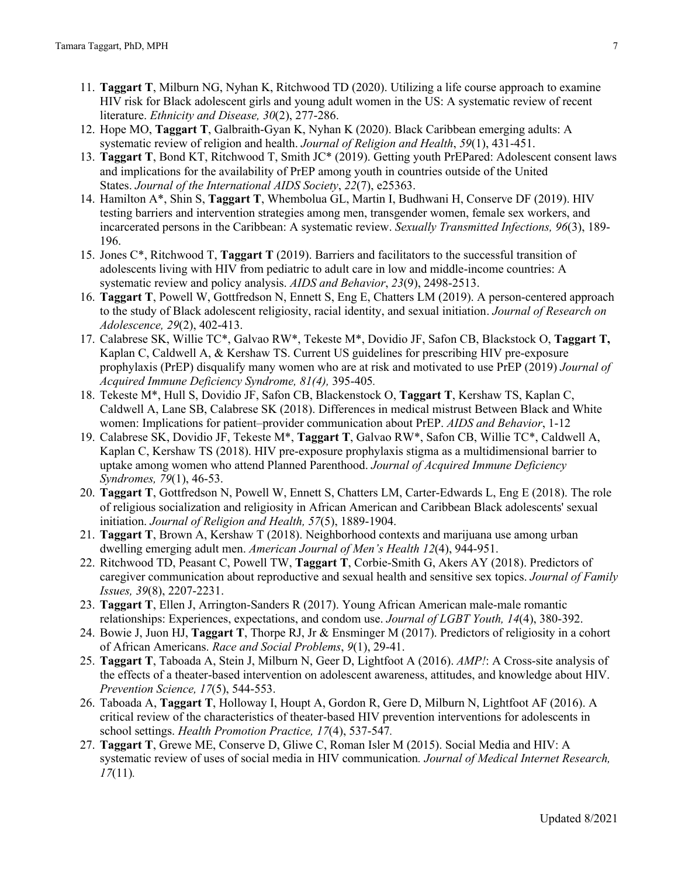- 11. **Taggart T**, Milburn NG, Nyhan K, Ritchwood TD (2020). Utilizing a life course approach to examine HIV risk for Black adolescent girls and young adult women in the US: A systematic review of recent literature. *Ethnicity and Disease, 30*(2), 277-286.
- 12. Hope MO, **Taggart T**, Galbraith-Gyan K, Nyhan K (2020). Black Caribbean emerging adults: A systematic review of religion and health. *Journal of Religion and Health*, *59*(1), 431-451.
- 13. **Taggart T**, Bond KT, Ritchwood T, Smith JC\* (2019). Getting youth PrEPared: Adolescent consent laws and implications for the availability of PrEP among youth in countries outside of the United States. *Journal of the International AIDS Society*, *22*(7), e25363.
- 14. Hamilton A\*, Shin S, **Taggart T**, Whembolua GL, Martin I, Budhwani H, Conserve DF (2019). HIV testing barriers and intervention strategies among men, transgender women, female sex workers, and incarcerated persons in the Caribbean: A systematic review. *Sexually Transmitted Infections, 96*(3), 189- 196.
- 15. Jones C\*, Ritchwood T, **Taggart T** (2019). Barriers and facilitators to the successful transition of adolescents living with HIV from pediatric to adult care in low and middle-income countries: A systematic review and policy analysis. *AIDS and Behavior*, *23*(9), 2498-2513.
- 16. **Taggart T**, Powell W, Gottfredson N, Ennett S, Eng E, Chatters LM (2019). A person-centered approach to the study of Black adolescent religiosity, racial identity, and sexual initiation. *Journal of Research on Adolescence, 29*(2), 402-413.
- 17. Calabrese SK, Willie TC\*, Galvao RW\*, Tekeste M\*, Dovidio JF, Safon CB, Blackstock O, **Taggart T,** Kaplan C, Caldwell A, & Kershaw TS. Current US guidelines for prescribing HIV pre-exposure prophylaxis (PrEP) disqualify many women who are at risk and motivated to use PrEP (2019) *Journal of Acquired Immune Deficiency Syndrome, 81(4),* 395-405*.*
- 18. Tekeste M\*, Hull S, Dovidio JF, Safon CB, Blackenstock O, **Taggart T**, Kershaw TS, Kaplan C, Caldwell A, Lane SB, Calabrese SK (2018). Differences in medical mistrust Between Black and White women: Implications for patient–provider communication about PrEP. *AIDS and Behavior*, 1-12
- 19. Calabrese SK, Dovidio JF, Tekeste M\*, **Taggart T**, Galvao RW\*, Safon CB, Willie TC\*, Caldwell A, Kaplan C, Kershaw TS (2018). HIV pre-exposure prophylaxis stigma as a multidimensional barrier to uptake among women who attend Planned Parenthood. *Journal of Acquired Immune Deficiency Syndromes, 79*(1), 46-53.
- 20. **Taggart T**, Gottfredson N, Powell W, Ennett S, Chatters LM, Carter-Edwards L, Eng E (2018). The role of religious socialization and religiosity in African American and Caribbean Black adolescents' sexual initiation. *Journal of Religion and Health, 57*(5), 1889-1904.
- 21. **Taggart T**, Brown A, Kershaw T (2018). Neighborhood contexts and marijuana use among urban dwelling emerging adult men. *American Journal of Men's Health 12*(4), 944-951.
- 22. Ritchwood TD, Peasant C, Powell TW, **Taggart T**, Corbie-Smith G, Akers AY (2018). Predictors of caregiver communication about reproductive and sexual health and sensitive sex topics. *Journal of Family Issues, 39*(8), 2207-2231.
- 23. **Taggart T**, Ellen J, Arrington-Sanders R (2017). Young African American male-male romantic relationships: Experiences, expectations, and condom use. *Journal of LGBT Youth, 14*(4), 380-392.
- 24. Bowie J, Juon HJ, **Taggart T**, Thorpe RJ, Jr & Ensminger M (2017). Predictors of religiosity in a cohort of African Americans. *Race and Social Problems*, *9*(1), 29-41.
- 25. **Taggart T**, Taboada A, Stein J, Milburn N, Geer D, Lightfoot A (2016). *AMP!*: A Cross-site analysis of the effects of a theater-based intervention on adolescent awareness, attitudes, and knowledge about HIV. *Prevention Science, 17*(5), 544-553.
- 26. Taboada A, **Taggart T**, Holloway I, Houpt A, Gordon R, Gere D, Milburn N, Lightfoot AF (2016). A critical review of the characteristics of theater-based HIV prevention interventions for adolescents in school settings. *Health Promotion Practice, 17*(4), 537-547*.*
- 27. **Taggart T**, Grewe ME, Conserve D, Gliwe C, Roman Isler M (2015). Social Media and HIV: A systematic review of uses of social media in HIV communication*. Journal of Medical Internet Research, 17*(11)*.*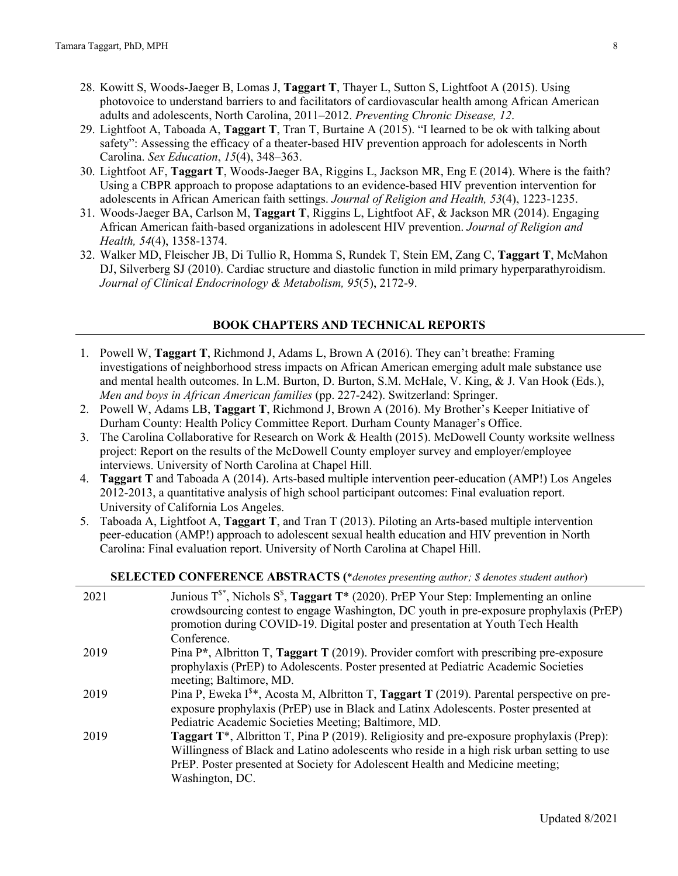- 28. Kowitt S, Woods-Jaeger B, Lomas J, **Taggart T**, Thayer L, Sutton S, Lightfoot A (2015). Using photovoice to understand barriers to and facilitators of cardiovascular health among African American adults and adolescents, North Carolina, 2011–2012. *Preventing Chronic Disease, 12*.
- 29. Lightfoot A, Taboada A, **Taggart T**, Tran T, Burtaine A (2015). "I learned to be ok with talking about safety": Assessing the efficacy of a theater-based HIV prevention approach for adolescents in North Carolina. *Sex Education*, *15*(4), 348–363.
- 30. Lightfoot AF, **Taggart T**, Woods-Jaeger BA, Riggins L, Jackson MR, Eng E (2014). Where is the faith? Using a CBPR approach to propose adaptations to an evidence-based HIV prevention intervention for adolescents in African American faith settings. *Journal of Religion and Health, 53*(4), 1223-1235.
- 31. Woods-Jaeger BA, Carlson M, **Taggart T**, Riggins L, Lightfoot AF, & Jackson MR (2014). Engaging African American faith-based organizations in adolescent HIV prevention. *Journal of Religion and Health, 54*(4), 1358-1374.
- 32. Walker MD, Fleischer JB, Di Tullio R, Homma S, Rundek T, Stein EM, Zang C, **Taggart T**, McMahon DJ, Silverberg SJ (2010). Cardiac structure and diastolic function in mild primary hyperparathyroidism. *Journal of Clinical Endocrinology & Metabolism, 95*(5), 2172-9.

### **BOOK CHAPTERS AND TECHNICAL REPORTS**

- 1. Powell W, **Taggart T**, Richmond J, Adams L, Brown A (2016). They can't breathe: Framing investigations of neighborhood stress impacts on African American emerging adult male substance use and mental health outcomes. In L.M. Burton, D. Burton, S.M. McHale, V. King, & J. Van Hook (Eds.), *Men and boys in African American families* (pp. 227-242). Switzerland: Springer.
- 2. Powell W, Adams LB, **Taggart T**, Richmond J, Brown A (2016). My Brother's Keeper Initiative of Durham County: Health Policy Committee Report. Durham County Manager's Office.
- 3. The Carolina Collaborative for Research on Work & Health (2015). McDowell County worksite wellness project: Report on the results of the McDowell County employer survey and employer/employee interviews. University of North Carolina at Chapel Hill.
- 4. **Taggart T** and Taboada A (2014). Arts-based multiple intervention peer-education (AMP!) Los Angeles 2012-2013, a quantitative analysis of high school participant outcomes: Final evaluation report. University of California Los Angeles.
- 5. Taboada A, Lightfoot A, **Taggart T**, and Tran T (2013). Piloting an Arts-based multiple intervention peer-education (AMP!) approach to adolescent sexual health education and HIV prevention in North Carolina: Final evaluation report. University of North Carolina at Chapel Hill.

## **SELECTED CONFERENCE ABSTRACTS (**\**denotes presenting author; \$ denotes student author*)

| 2021 | Junious $T^{s*}$ , Nichols $S^s$ , Taggart T <sup>*</sup> (2020). PrEP Your Step: Implementing an online<br>crowdsourcing contest to engage Washington, DC youth in pre-exposure prophylaxis (PrEP)<br>promotion during COVID-19. Digital poster and presentation at Youth Tech Health<br>Conference. |
|------|-------------------------------------------------------------------------------------------------------------------------------------------------------------------------------------------------------------------------------------------------------------------------------------------------------|
| 2019 | Pina $P^*$ , Albritton T, Taggart T (2019). Provider comfort with prescribing pre-exposure<br>prophylaxis (PrEP) to Adolescents. Poster presented at Pediatric Academic Societies<br>meeting; Baltimore, MD.                                                                                          |
| 2019 | Pina P, Eweka $I^{s*}$ , Acosta M, Albritton T, Taggart T (2019). Parental perspective on pre-<br>exposure prophylaxis (PrEP) use in Black and Latinx Adolescents. Poster presented at<br>Pediatric Academic Societies Meeting; Baltimore, MD.                                                        |
| 2019 | Taggart T*, Albritton T, Pina P (2019). Religiosity and pre-exposure prophylaxis (Prep):<br>Willingness of Black and Latino adolescents who reside in a high risk urban setting to use<br>PrEP. Poster presented at Society for Adolescent Health and Medicine meeting;<br>Washington, DC.            |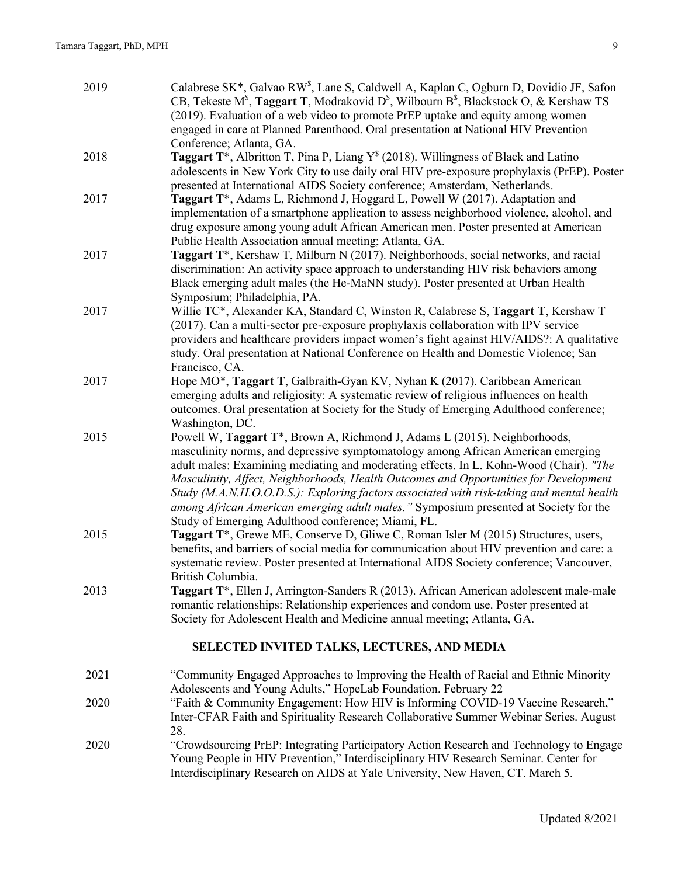| 2019 | Calabrese SK*, Galvao RW <sup>\$</sup> , Lane S, Caldwell A, Kaplan C, Ogburn D, Dovidio JF, Safon<br>CB, Tekeste M <sup>§</sup> , Taggart T, Modrakovid D <sup>§</sup> , Wilbourn B <sup>§</sup> , Blackstock O, & Kershaw TS |
|------|--------------------------------------------------------------------------------------------------------------------------------------------------------------------------------------------------------------------------------|
|      | (2019). Evaluation of a web video to promote PrEP uptake and equity among women                                                                                                                                                |
|      | engaged in care at Planned Parenthood. Oral presentation at National HIV Prevention                                                                                                                                            |
|      | Conference; Atlanta, GA.                                                                                                                                                                                                       |
| 2018 | <b>Taggart T*</b> , Albritton T, Pina P, Liang $Y^s$ (2018). Willingness of Black and Latino                                                                                                                                   |
|      | adolescents in New York City to use daily oral HIV pre-exposure prophylaxis (PrEP). Poster                                                                                                                                     |
|      | presented at International AIDS Society conference; Amsterdam, Netherlands.                                                                                                                                                    |
| 2017 | Taggart T*, Adams L, Richmond J, Hoggard L, Powell W (2017). Adaptation and                                                                                                                                                    |
|      | implementation of a smartphone application to assess neighborhood violence, alcohol, and                                                                                                                                       |
|      | drug exposure among young adult African American men. Poster presented at American                                                                                                                                             |
| 2017 | Public Health Association annual meeting; Atlanta, GA.                                                                                                                                                                         |
|      | Taggart T*, Kershaw T, Milburn N (2017). Neighborhoods, social networks, and racial<br>discrimination: An activity space approach to understanding HIV risk behaviors among                                                    |
|      | Black emerging adult males (the He-MaNN study). Poster presented at Urban Health                                                                                                                                               |
|      | Symposium; Philadelphia, PA.                                                                                                                                                                                                   |
| 2017 | Willie TC*, Alexander KA, Standard C, Winston R, Calabrese S, Taggart T, Kershaw T                                                                                                                                             |
|      | (2017). Can a multi-sector pre-exposure prophylaxis collaboration with IPV service                                                                                                                                             |
|      | providers and healthcare providers impact women's fight against HIV/AIDS?: A qualitative                                                                                                                                       |
|      | study. Oral presentation at National Conference on Health and Domestic Violence; San                                                                                                                                           |
|      | Francisco, CA.                                                                                                                                                                                                                 |
| 2017 | Hope MO*, Taggart T, Galbraith-Gyan KV, Nyhan K (2017). Caribbean American                                                                                                                                                     |
|      | emerging adults and religiosity: A systematic review of religious influences on health                                                                                                                                         |
|      | outcomes. Oral presentation at Society for the Study of Emerging Adulthood conference;                                                                                                                                         |
|      | Washington, DC.                                                                                                                                                                                                                |
| 2015 | Powell W, Taggart T*, Brown A, Richmond J, Adams L (2015). Neighborhoods,                                                                                                                                                      |
|      | masculinity norms, and depressive symptomatology among African American emerging<br>adult males: Examining mediating and moderating effects. In L. Kohn-Wood (Chair). "The                                                     |
|      | Masculinity, Affect, Neighborhoods, Health Outcomes and Opportunities for Development                                                                                                                                          |
|      | Study (M.A.N.H.O.O.D.S.): Exploring factors associated with risk-taking and mental health                                                                                                                                      |
|      | among African American emerging adult males." Symposium presented at Society for the                                                                                                                                           |
|      | Study of Emerging Adulthood conference; Miami, FL.                                                                                                                                                                             |
| 2015 | <b>Taggart T*</b> , Grewe ME, Conserve D, Gliwe C, Roman Isler M (2015) Structures, users,                                                                                                                                     |
|      | benefits, and barriers of social media for communication about HIV prevention and care: a                                                                                                                                      |
|      | systematic review. Poster presented at International AIDS Society conference; Vancouver,                                                                                                                                       |
|      | British Columbia.                                                                                                                                                                                                              |
| 2013 | Taggart T*, Ellen J, Arrington-Sanders R (2013). African American adolescent male-male                                                                                                                                         |
|      | romantic relationships: Relationship experiences and condom use. Poster presented at                                                                                                                                           |
|      | Society for Adolescent Health and Medicine annual meeting; Atlanta, GA.                                                                                                                                                        |
|      | SELECTED INVITED TALKS, LECTURES, AND MEDIA                                                                                                                                                                                    |
|      |                                                                                                                                                                                                                                |

| 2021 | "Community Engaged Approaches to Improving the Health of Racial and Ethnic Minority     |
|------|-----------------------------------------------------------------------------------------|
|      | Adolescents and Young Adults," HopeLab Foundation. February 22                          |
| 2020 | "Faith & Community Engagement: How HIV is Informing COVID-19 Vaccine Research,"         |
|      | Inter-CFAR Faith and Spirituality Research Collaborative Summer Webinar Series. August  |
|      | 28.                                                                                     |
| 2020 | "Crowdsourcing PrEP: Integrating Participatory Action Research and Technology to Engage |
|      | Young People in HIV Prevention," Interdisciplinary HIV Research Seminar. Center for     |
|      | Interdisciplinary Research on AIDS at Yale University, New Haven, CT. March 5.          |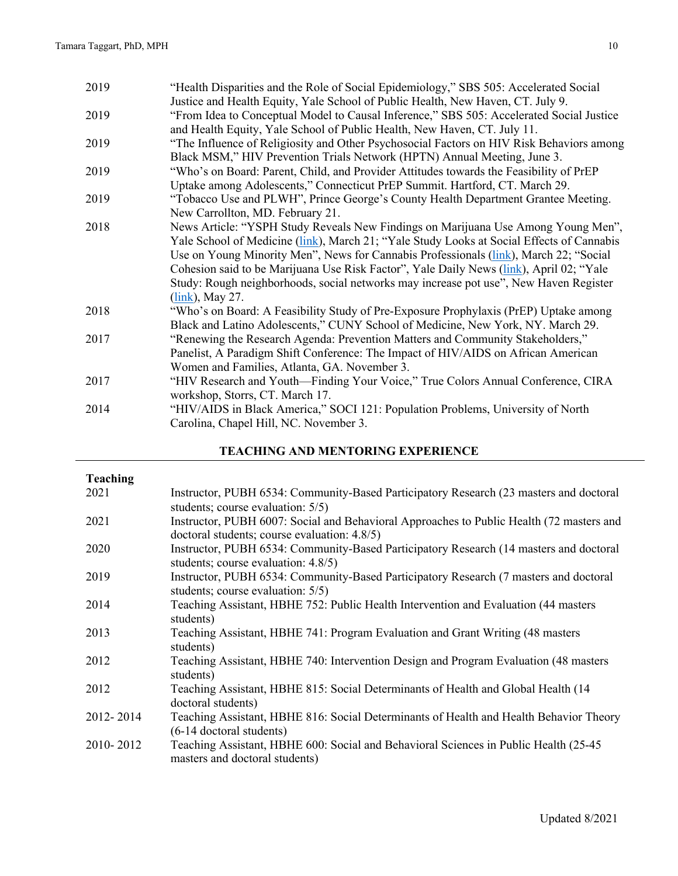| 2019 | "Health Disparities and the Role of Social Epidemiology," SBS 505: Accelerated Social     |
|------|-------------------------------------------------------------------------------------------|
|      | Justice and Health Equity, Yale School of Public Health, New Haven, CT. July 9.           |
| 2019 | "From Idea to Conceptual Model to Causal Inference," SBS 505: Accelerated Social Justice  |
|      | and Health Equity, Yale School of Public Health, New Haven, CT. July 11.                  |
| 2019 | "The Influence of Religiosity and Other Psychosocial Factors on HIV Risk Behaviors among  |
|      | Black MSM," HIV Prevention Trials Network (HPTN) Annual Meeting, June 3.                  |
| 2019 | "Who's on Board: Parent, Child, and Provider Attitudes towards the Feasibility of PrEP    |
|      | Uptake among Adolescents," Connecticut PrEP Summit. Hartford, CT. March 29.               |
| 2019 | "Tobacco Use and PLWH", Prince George's County Health Department Grantee Meeting.         |
|      | New Carrollton, MD. February 21.                                                          |
| 2018 | News Article: "YSPH Study Reveals New Findings on Marijuana Use Among Young Men",         |
|      | Yale School of Medicine (link), March 21; "Yale Study Looks at Social Effects of Cannabis |
|      | Use on Young Minority Men", News for Cannabis Professionals (link), March 22; "Social     |
|      | Cohesion said to be Marijuana Use Risk Factor", Yale Daily News (link), April 02; "Yale   |
|      | Study: Rough neighborhoods, social networks may increase pot use", New Haven Register     |
|      | $(link)$ , May 27.                                                                        |
| 2018 | "Who's on Board: A Feasibility Study of Pre-Exposure Prophylaxis (PrEP) Uptake among      |
|      | Black and Latino Adolescents," CUNY School of Medicine, New York, NY. March 29.           |
| 2017 | "Renewing the Research Agenda: Prevention Matters and Community Stakeholders,"            |
|      | Panelist, A Paradigm Shift Conference: The Impact of HIV/AIDS on African American         |
|      | Women and Families, Atlanta, GA. November 3.                                              |
| 2017 | "HIV Research and Youth—Finding Your Voice," True Colors Annual Conference, CIRA          |
|      | workshop, Storrs, CT. March 17.                                                           |
| 2014 | "HIV/AIDS in Black America," SOCI 121: Population Problems, University of North           |
|      | Carolina, Chapel Hill, NC. November 3.                                                    |
|      |                                                                                           |

## **TEACHING AND MENTORING EXPERIENCE**

## **Teaching**

| Instructor, PUBH 6534: Community-Based Participatory Research (23 masters and doctoral<br>students; course evaluation: 5/5)              |
|------------------------------------------------------------------------------------------------------------------------------------------|
| Instructor, PUBH 6007: Social and Behavioral Approaches to Public Health (72 masters and<br>doctoral students; course evaluation: 4.8/5) |
| Instructor, PUBH 6534: Community-Based Participatory Research (14 masters and doctoral<br>students; course evaluation: 4.8/5)            |
| Instructor, PUBH 6534: Community-Based Participatory Research (7 masters and doctoral<br>students; course evaluation: 5/5)               |
| Teaching Assistant, HBHE 752: Public Health Intervention and Evaluation (44 masters<br>students)                                         |
| Teaching Assistant, HBHE 741: Program Evaluation and Grant Writing (48 masters)<br>students)                                             |
| Teaching Assistant, HBHE 740: Intervention Design and Program Evaluation (48 masters<br>students)                                        |
| Teaching Assistant, HBHE 815: Social Determinants of Health and Global Health (14)<br>doctoral students)                                 |
| Teaching Assistant, HBHE 816: Social Determinants of Health and Health Behavior Theory<br>(6-14 doctoral students)                       |
| Teaching Assistant, HBHE 600: Social and Behavioral Sciences in Public Health (25-45)<br>masters and doctoral students)                  |
|                                                                                                                                          |